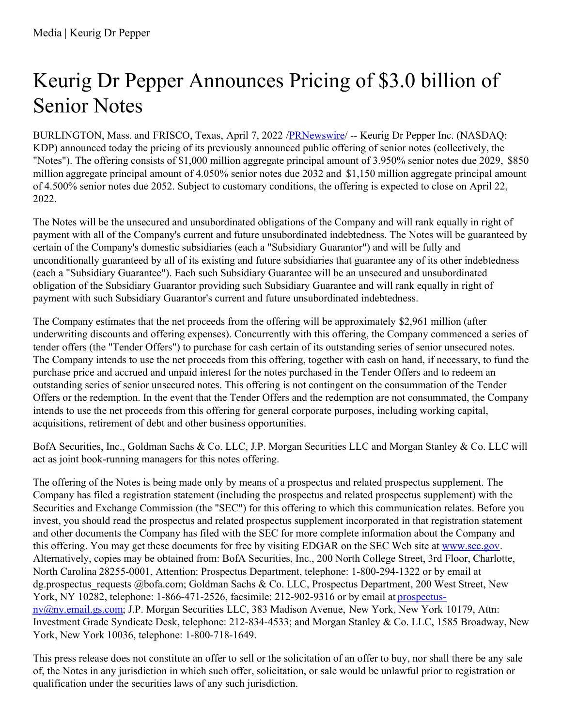## Keurig Dr Pepper Announces Pricing of \$3.0 billion of Senior Notes

BURLINGTON, Mass. and FRISCO, Texas, April 7, 2022 [/PRNewswire](http://www.prnewswire.com/)/ -- Keurig Dr Pepper Inc. (NASDAQ: KDP) announced today the pricing of its previously announced public offering of senior notes (collectively, the "Notes"). The offering consists of \$1,000 million aggregate principal amount of 3.950% senior notes due 2029, \$850 million aggregate principal amount of 4.050% senior notes due 2032 and \$1,150 million aggregate principal amount of 4.500% senior notes due 2052. Subject to customary conditions, the offering is expected to close on April 22, 2022.

The Notes will be the unsecured and unsubordinated obligations of the Company and will rank equally in right of payment with all of the Company's current and future unsubordinated indebtedness. The Notes will be guaranteed by certain of the Company's domestic subsidiaries (each a "Subsidiary Guarantor") and will be fully and unconditionally guaranteed by all of its existing and future subsidiaries that guarantee any of its other indebtedness (each a "Subsidiary Guarantee"). Each such Subsidiary Guarantee will be an unsecured and unsubordinated obligation of the Subsidiary Guarantor providing such Subsidiary Guarantee and will rank equally in right of payment with such Subsidiary Guarantor's current and future unsubordinated indebtedness.

The Company estimates that the net proceeds from the offering will be approximately \$2,961 million (after underwriting discounts and offering expenses). Concurrently with this offering, the Company commenced a series of tender offers (the "Tender Offers") to purchase for cash certain of its outstanding series of senior unsecured notes. The Company intends to use the net proceeds from this offering, together with cash on hand, if necessary, to fund the purchase price and accrued and unpaid interest for the notes purchased in the Tender Offers and to redeem an outstanding series of senior unsecured notes. This offering is not contingent on the consummation of the Tender Offers or the redemption. In the event that the Tender Offers and the redemption are not consummated, the Company intends to use the net proceeds from this offering for general corporate purposes, including working capital, acquisitions, retirement of debt and other business opportunities.

BofA Securities, Inc., Goldman Sachs & Co. LLC, J.P. Morgan Securities LLC and Morgan Stanley & Co. LLC will act as joint book-running managers for this notes offering.

The offering of the Notes is being made only by means of a prospectus and related prospectus supplement. The Company has filed a registration statement (including the prospectus and related prospectus supplement) with the Securities and Exchange Commission (the "SEC") for this offering to which this communication relates. Before you invest, you should read the prospectus and related prospectus supplement incorporated in that registration statement and other documents the Company has filed with the SEC for more complete information about the Company and this offering. You may get these documents for free by visiting EDGAR on the SEC Web site at [www.sec.gov](http://www.sec.gov). Alternatively, copies may be obtained from: BofA Securities, Inc., 200 North College Street, 3rd Floor, Charlotte, North Carolina 28255-0001, Attention: Prospectus Department, telephone: 1-800-294-1322 or by email at dg.prospectus requests @bofa.com; Goldman Sachs & Co. LLC, Prospectus Department, 200 West Street, New York, NY 10282, telephone: 1-866-471-2526, facsimile: 212-902-9316 or by email at prospectus[ny@ny.email.gs.com;](mailto:prospectus-ny@ny.email.gs.com) J.P. Morgan Securities LLC, 383 Madison Avenue, New York, New York 10179, Attn: Investment Grade Syndicate Desk, telephone: 212-834-4533; and Morgan Stanley & Co. LLC, 1585 Broadway, New York, New York 10036, telephone: 1-800-718-1649.

This press release does not constitute an offer to sell or the solicitation of an offer to buy, nor shall there be any sale of, the Notes in any jurisdiction in which such offer, solicitation, or sale would be unlawful prior to registration or qualification under the securities laws of any such jurisdiction.